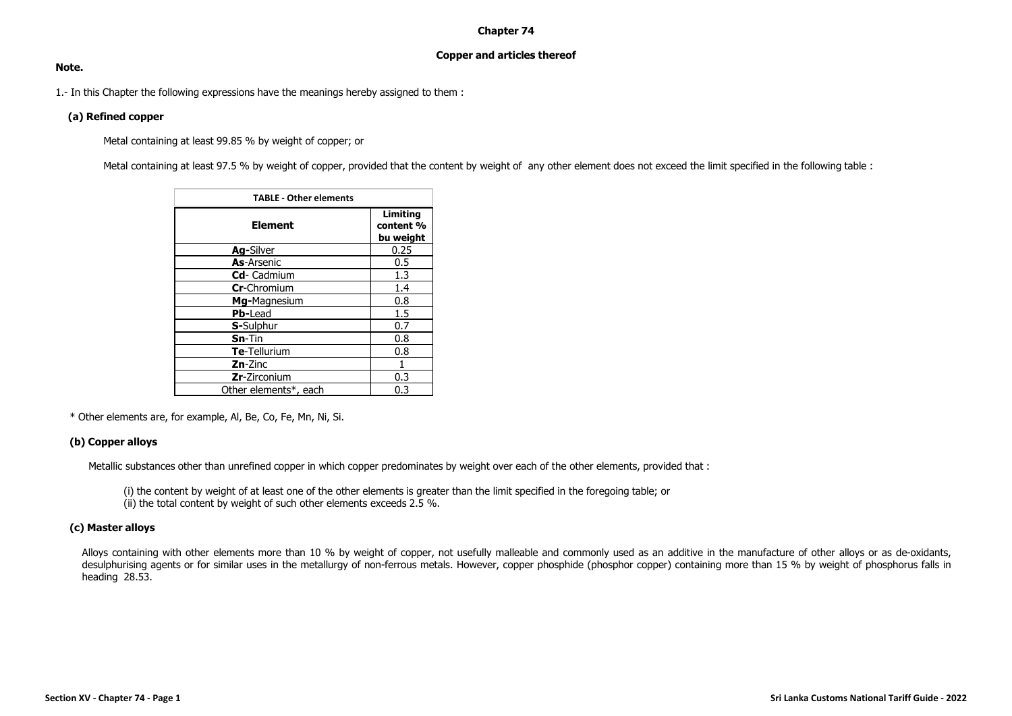## **Chapter 74**

# **Copper and articles thereof**

#### **Note.**

1.- In this Chapter the following expressions have the meanings hereby assigned to them :

## **(a) Refined copper**

Metal containing at least 99.85 % by weight of copper; or

Metal containing at least 97.5 % by weight of copper, provided that the content by weight of any other element does not exceed the limit specified in the following table :

| <b>TABLE - Other elements</b> |                                    |  |  |  |  |  |  |  |  |  |
|-------------------------------|------------------------------------|--|--|--|--|--|--|--|--|--|
| <b>Element</b>                | Limiting<br>content %<br>bu weight |  |  |  |  |  |  |  |  |  |
| Ag-Silver                     | 0.25                               |  |  |  |  |  |  |  |  |  |
| <b>As-Arsenic</b>             | 0.5                                |  |  |  |  |  |  |  |  |  |
| Cd- Cadmium                   | 1.3                                |  |  |  |  |  |  |  |  |  |
| Cr-Chromium                   | 1.4                                |  |  |  |  |  |  |  |  |  |
| Mg-Magnesium                  | 0.8                                |  |  |  |  |  |  |  |  |  |
| <b>Pb-Lead</b>                | 1.5                                |  |  |  |  |  |  |  |  |  |
| S-Sulphur                     | 0.7                                |  |  |  |  |  |  |  |  |  |
| $Sn-Tin$                      | 0.8                                |  |  |  |  |  |  |  |  |  |
| Te-Tellurium                  | 0.8                                |  |  |  |  |  |  |  |  |  |
| <b>Zn-Zinc</b>                |                                    |  |  |  |  |  |  |  |  |  |
| <b>Zr-Zirconium</b>           | 0.3                                |  |  |  |  |  |  |  |  |  |
| Other elements*, each         | 0.3                                |  |  |  |  |  |  |  |  |  |

\* Other elements are, for example, Al, Be, Co, Fe, Mn, Ni, Si.

# **(b) Copper alloys**

Metallic substances other than unrefined copper in which copper predominates by weight over each of the other elements, provided that :

(i) the content by weight of at least one of the other elements is greater than the limit specified in the foregoing table; or  $\lim_{h \to 0}$  the total content by weight of such other elements exceeds 2.5 %.

# **(c) Master alloys**

Alloys containing with other elements more than 10 % by weight of copper, not usefully malleable and commonly used as an additive in the manufacture of other alloys or as de-oxidants, desulphurising agents or for similar uses in the metallurgy of non-ferrous metals. However, copper phosphide (phosphor copper) containing more than 15 % by weight of phosphorus falls in heading 28.53.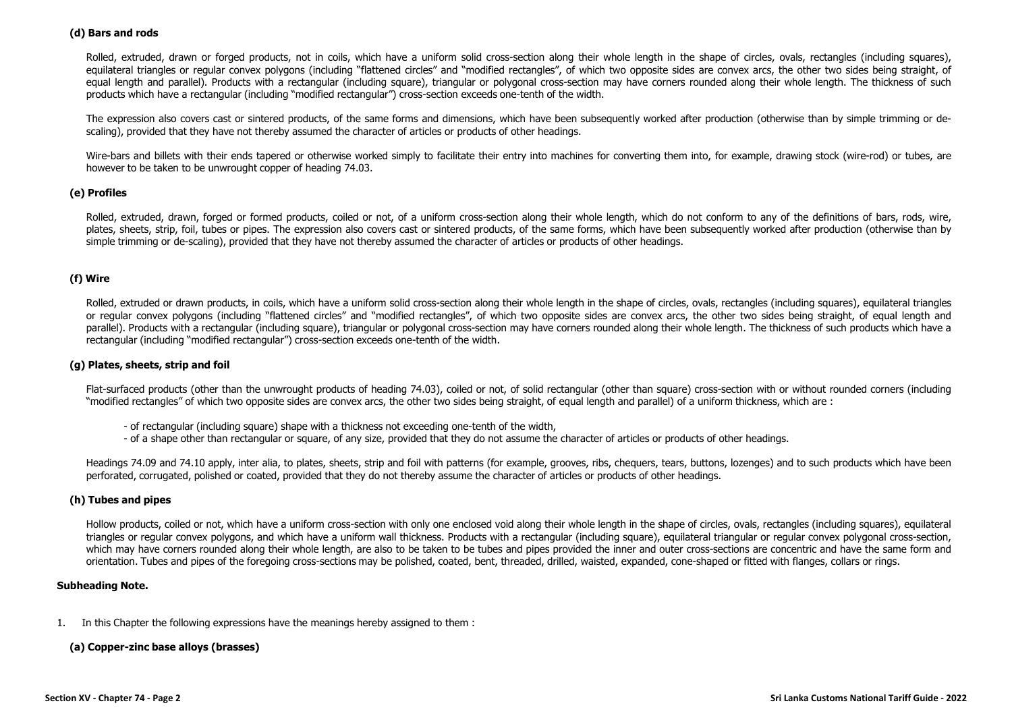## **(d) Bars and rods**

Rolled, extruded, drawn or forged products, not in coils, which have a uniform solid cross-section along their whole length in the shape of circles, ovals, rectangles (including squares), equilateral triangles or regular convex polygons (including "flattened circles" and "modified rectangles", of which two opposite sides are convex arcs, the other two sides being straight, of equal length and parallel). Products with a rectangular (including square), triangular or polygonal cross-section may have corners rounded along their whole length. The thickness of such products which have a rectangular (including "modified rectangular") cross-section exceeds one-tenth of the width.

The expression also covers cast or sintered products, of the same forms and dimensions, which have been subsequently worked after production (otherwise than by simple trimming or descaling), provided that they have not thereby assumed the character of articles or products of other headings.

Wire-bars and billets with their ends tapered or otherwise worked simply to facilitate their entry into machines for converting them into, for example, drawing stock (wire-rod) or tubes, are however to be taken to be unwrought copper of heading 74.03.

## **(e) Profiles**

Rolled, extruded, drawn, forged or formed products, coiled or not, of a uniform cross-section along their whole length, which do not conform to any of the definitions of bars, rods, wire, plates, sheets, strip, foil, tubes or pipes. The expression also covers cast or sintered products, of the same forms, which have been subsequently worked after production (otherwise than by simple trimming or de-scaling), provided that they have not thereby assumed the character of articles or products of other headings.

# **(f) Wire**

Rolled, extruded or drawn products, in coils, which have a uniform solid cross-section along their whole length in the shape of circles, ovals, rectangles (including squares), equilateral triangles or regular convex polygons (including "flattened circles" and "modified rectangles", of which two opposite sides are convex arcs, the other two sides being straight, of equal length and parallel). Products with a rectangular (including square), triangular or polygonal cross-section may have corners rounded along their whole length. The thickness of such products which have a rectangular (including "modified rectangular") cross-section exceeds one-tenth of the width.

## **(g) Plates, sheets, strip and foil**

Flat-surfaced products (other than the unwrought products of heading 74.03), coiled or not, of solid rectangular (other than square) cross-section with or without rounded corners (including "modified rectangles" of which two opposite sides are convex arcs, the other two sides being straight, of equal length and parallel) of a uniform thickness, which are :

- of rectangular (including square) shape with a thickness not exceeding one-tenth of the width,
- of a shape other than rectangular or square, of any size, provided that they do not assume the character of articles or products of other headings.

Headings 74.09 and 74.10 apply, inter alia, to plates, sheets, strip and foil with patterns (for example, grooves, ribs, chequers, tears, buttons, lozenges) and to such products which have been perforated, corrugated, polished or coated, provided that they do not thereby assume the character of articles or products of other headings.

## **(h) Tubes and pipes**

Hollow products, coiled or not, which have a uniform cross-section with only one enclosed void along their whole length in the shape of circles, ovals, rectangles (including squares), equilateral triangles or regular convex polygons, and which have a uniform wall thickness. Products with a rectangular (including square), equilateral triangular or regular convex polygonal cross-section, which may have corners rounded along their whole length, are also to be taken to be tubes and pipes provided the inner and outer cross-sections are concentric and have the same form and orientation. Tubes and pipes of the foregoing cross-sections may be polished, coated, bent, threaded, drilled, waisted, expanded, cone-shaped or fitted with flanges, collars or rings.

#### **Subheading Note.**

1. In this Chapter the following expressions have the meanings hereby assigned to them :

## **(a) Copper-zinc base alloys (brasses)**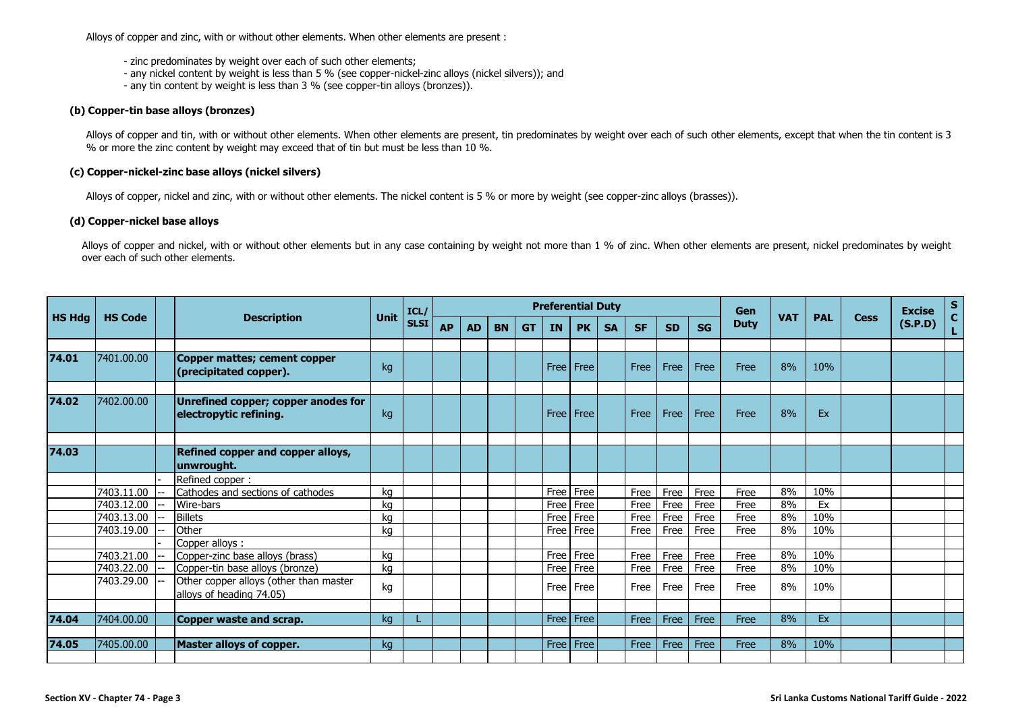Alloys of copper and zinc, with or without other elements. When other elements are present :

- zinc predominates by weight over each of such other elements;
- any nickel content by weight is less than 5 % (see copper-nickel-zinc alloys (nickel silvers)); and
- any tin content by weight is less than 3 % (see copper-tin alloys (bronzes)).

## **(b) Copper-tin base alloys (bronzes)**

Alloys of copper and tin, with or without other elements. When other elements are present, tin predominates by weight over each of such other elements, except that when the tin content is 3 % or more the zinc content by weight may exceed that of tin but must be less than 10 %.

## **(c) Copper-nickel-zinc base alloys (nickel silvers)**

Alloys of copper, nickel and zinc, with or without other elements. The nickel content is 5 % or more by weight (see copper-zinc alloys (brasses)).

## **(d) Copper-nickel base alloys**

Alloys of copper and nickel, with or without other elements but in any case containing by weight not more than 1 % of zinc. When other elements are present, nickel predominates by weight over each of such other elements.

|               |                |                                                                    |             | ICL/        | <b>Preferential Duty</b> |     |           |           |        |             |           |           |           |           |             | <b>Gen</b> |            |             | <b>Excise</b> | $S_{C}$ |
|---------------|----------------|--------------------------------------------------------------------|-------------|-------------|--------------------------|-----|-----------|-----------|--------|-------------|-----------|-----------|-----------|-----------|-------------|------------|------------|-------------|---------------|---------|
| <b>HS Hdg</b> | <b>HS Code</b> | <b>Description</b>                                                 | <b>Unit</b> | <b>SLSI</b> | <b>AP</b>                | AD. | <b>BN</b> | <b>GT</b> | IN     | <b>PK</b>   | <b>SA</b> | <b>SF</b> | <b>SD</b> | <b>SG</b> | <b>Duty</b> | <b>VAT</b> | <b>PAL</b> | <b>Cess</b> | (S.P.D)       | L.      |
|               |                |                                                                    |             |             |                          |     |           |           |        |             |           |           |           |           |             |            |            |             |               |         |
| 74.01         | 7401.00.00     | <b>Copper mattes; cement copper</b><br>(precipitated copper).      | kg          |             |                          |     |           |           |        | Free Free   |           | Free      | Free      | Free      | Free        | 8%         | 10%        |             |               |         |
|               |                |                                                                    |             |             |                          |     |           |           |        |             |           |           |           |           |             |            |            |             |               |         |
| 74.02         | 7402.00.00     | Unrefined copper; copper anodes for<br>electropytic refining.      | kg          |             |                          |     |           |           |        | Free   Free |           | Free      | Free      | Free      | Free        | 8%         | Ex         |             |               |         |
|               |                |                                                                    |             |             |                          |     |           |           |        |             |           |           |           |           |             |            |            |             |               |         |
| 74.03         |                | Refined copper and copper alloys,<br>unwrought.                    |             |             |                          |     |           |           |        |             |           |           |           |           |             |            |            |             |               |         |
|               |                | Refined copper:                                                    |             |             |                          |     |           |           |        |             |           |           |           |           |             |            |            |             |               |         |
|               | 7403.11.00     | Cathodes and sections of cathodes                                  | kq          |             |                          |     |           |           | Free   | Free        |           | Free      | Free      | Free      | Free        | 8%         | 10%        |             |               |         |
|               | 7403.12.00     | Wire-bars                                                          | kq          |             |                          |     |           |           | Free   | Free        |           | Free      | Free      | Free      | Free        | 8%         | Ex         |             |               |         |
|               | 7403.13.00     | <b>Billets</b>                                                     | ka          |             |                          |     |           |           | Free   | Free        |           | Free      | Free      | Free      | Free        | 8%         | 10%        |             |               |         |
|               | 7403.19.00     | Other                                                              | ka          |             |                          |     |           |           | Free   | Free        |           | Free      | Free      | Free      | Free        | 8%         | 10%        |             |               |         |
|               |                | Copper alloys:                                                     |             |             |                          |     |           |           |        |             |           |           |           |           |             |            |            |             |               |         |
|               | 7403.21.00     | Copper-zinc base alloys (brass)                                    | kq          |             |                          |     |           |           | Free   | Free        |           | Free      | Free      | Free      | Free        | 8%         | 10%        |             |               |         |
|               | 7403.22.00     | Copper-tin base alloys (bronze)                                    | kq          |             |                          |     |           |           | Free   | Free        |           | Free      | Free      | Free      | Free        | 8%         | 10%        |             |               |         |
|               | 7403.29.00     | Other copper alloys (other than master<br>alloys of heading 74.05) | kg          |             |                          |     |           |           | Free I | Free        |           | Free      | Free      | Free      | Free        | 8%         | 10%        |             |               |         |
|               |                |                                                                    |             |             |                          |     |           |           |        |             |           |           |           |           |             |            |            |             |               |         |
| 74.04         | 7404.00.00     | Copper waste and scrap.                                            | ka          |             |                          |     |           |           |        | Free   Free |           | Free      | Free      | Free      | Free        | 8%         | Ex         |             |               |         |
|               |                |                                                                    |             |             |                          |     |           |           |        |             |           |           |           |           |             |            |            |             |               |         |
| 74.05         | 7405.00.00     | <b>Master alloys of copper.</b>                                    | kg          |             |                          |     |           |           |        | Free   Free |           | Free      | Free      | Free      | Free        | 8%         | 10%        |             |               |         |
|               |                |                                                                    |             |             |                          |     |           |           |        |             |           |           |           |           |             |            |            |             |               |         |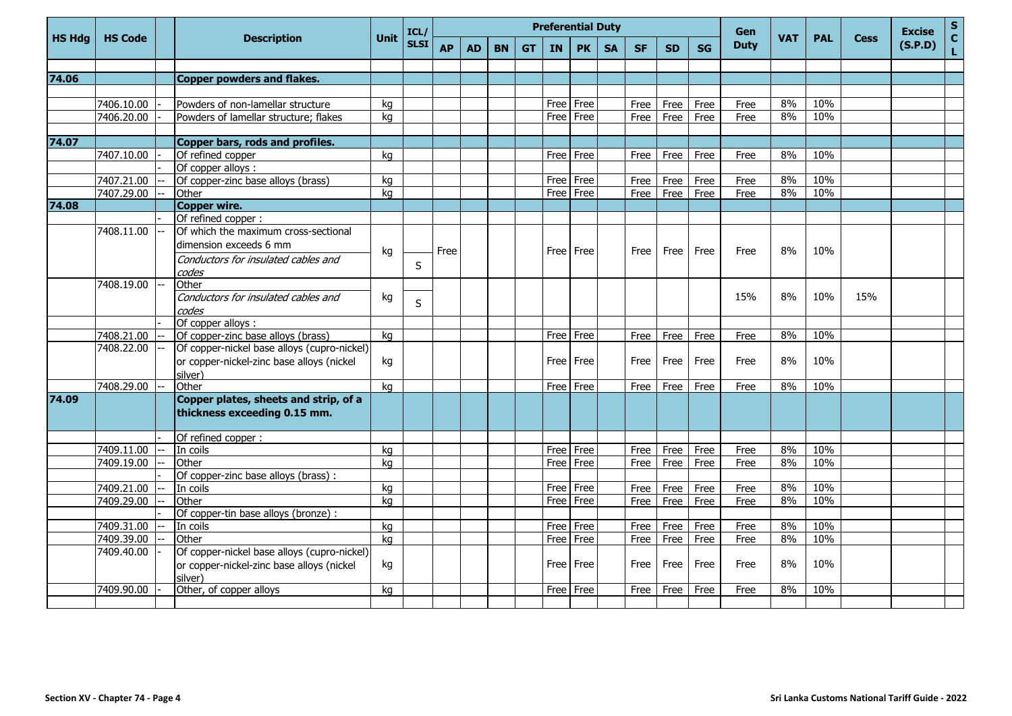|               |                |                                                                       |             | ICL/        | <b>Preferential Duty</b> |     |           |           |           |             |           |           |           |           |             |            |            | <b>Cess</b> | <b>Excise</b> | ${\sf s}$          |
|---------------|----------------|-----------------------------------------------------------------------|-------------|-------------|--------------------------|-----|-----------|-----------|-----------|-------------|-----------|-----------|-----------|-----------|-------------|------------|------------|-------------|---------------|--------------------|
| <b>HS Hdg</b> | <b>HS Code</b> | <b>Description</b>                                                    | <b>Unit</b> | <b>SLSI</b> | <b>AP</b>                | AD. | <b>BN</b> | <b>GT</b> | <b>IN</b> | <b>PK</b>   | <b>SA</b> | <b>SF</b> | <b>SD</b> | <b>SG</b> | <b>Duty</b> | <b>VAT</b> | <b>PAL</b> |             | (S.P.D)       | $\mathbf{C}$<br>L. |
|               |                |                                                                       |             |             |                          |     |           |           |           |             |           |           |           |           |             |            |            |             |               |                    |
| 74.06         |                | Copper powders and flakes.                                            |             |             |                          |     |           |           |           |             |           |           |           |           |             |            |            |             |               |                    |
|               |                |                                                                       |             |             |                          |     |           |           |           |             |           |           |           |           |             |            |            |             |               |                    |
|               | 7406.10.00     | Powders of non-lamellar structure                                     | ka          |             |                          |     |           |           | Free      | Free        |           | Free      | Free      | Free      | Free        | 8%         | 10%        |             |               |                    |
|               | 7406.20.00     | Powders of lamellar structure; flakes                                 | kg          |             |                          |     |           |           | Free      | Free        |           | Free      | Free      | Free      | Free        | 8%         | 10%        |             |               |                    |
|               |                |                                                                       |             |             |                          |     |           |           |           |             |           |           |           |           |             |            |            |             |               |                    |
| 74.07         |                | Copper bars, rods and profiles.                                       |             |             |                          |     |           |           |           |             |           |           |           |           |             |            |            |             |               |                    |
|               | 7407.10.00     | Of refined copper                                                     | kg          |             |                          |     |           |           |           | Free l Free |           | Free      | Free      | Free      | Free        | 8%         | 10%        |             |               |                    |
|               |                | Of copper alloys :                                                    |             |             |                          |     |           |           |           |             |           |           |           |           |             |            |            |             |               |                    |
|               | 7407.21.00     | Of copper-zinc base alloys (brass)                                    | kg          |             |                          |     |           |           | Free      | Free        |           | Free      | Free      | Free      | Free        | 8%         | 10%        |             |               |                    |
|               | 7407.29.00     | Other                                                                 | kg          |             |                          |     |           |           | Free      | Free        |           | Free      | Free      | Free      | Free        | 8%         | 10%        |             |               |                    |
| 74.08         |                | <b>Copper wire.</b>                                                   |             |             |                          |     |           |           |           |             |           |           |           |           |             |            |            |             |               |                    |
|               |                | Of refined copper :                                                   |             |             |                          |     |           |           |           |             |           |           |           |           |             |            |            |             |               |                    |
|               | 7408.11.00     | Of which the maximum cross-sectional                                  |             |             |                          |     |           |           |           |             |           |           |           |           |             |            |            |             |               |                    |
|               |                | dimension exceeds 6 mm                                                | kg          |             | Free                     |     |           |           |           | Free   Free |           | Free      | Free      | Free      | Free        | 8%         | 10%        |             |               |                    |
|               |                | Conductors for insulated cables and                                   |             |             |                          |     |           |           |           |             |           |           |           |           |             |            |            |             |               |                    |
|               |                | codes                                                                 |             | S           |                          |     |           |           |           |             |           |           |           |           |             |            |            |             |               |                    |
|               | 7408.19.00     | Other                                                                 |             |             |                          |     |           |           |           |             |           |           |           |           |             |            |            |             |               |                    |
|               |                | Conductors for insulated cables and                                   | kg          | S           |                          |     |           |           |           |             |           |           |           |           | 15%         | 8%         | 10%        | 15%         |               |                    |
|               |                | codes                                                                 |             |             |                          |     |           |           |           |             |           |           |           |           |             |            |            |             |               |                    |
|               |                | Of copper alloys :                                                    |             |             |                          |     |           |           |           |             |           |           |           |           |             |            |            |             |               |                    |
|               | 7408.21.00     | Of copper-zinc base alloys (brass)                                    | kg          |             |                          |     |           |           | Free      | Free        |           | Free      | Free      | Free      | Free        | 8%         | 10%        |             |               |                    |
|               | 7408.22.00     | Of copper-nickel base alloys (cupro-nickel)                           |             |             |                          |     |           |           |           |             |           |           |           |           |             |            |            |             |               |                    |
|               |                | or copper-nickel-zinc base alloys (nickel                             | kg          |             |                          |     |           |           |           | Free   Free |           | Free      | Free      | Free      | Free        | 8%         | 10%        |             |               |                    |
|               |                | silver)                                                               |             |             |                          |     |           |           |           |             |           |           |           |           |             |            |            |             |               |                    |
|               | 7408.29.00     | Other                                                                 | kg          |             |                          |     |           |           |           | Free Free   |           | Free      | Free      | Free      | Free        | 8%         | 10%        |             |               |                    |
| 74.09         |                | Copper plates, sheets and strip, of a<br>thickness exceeding 0.15 mm. |             |             |                          |     |           |           |           |             |           |           |           |           |             |            |            |             |               |                    |
|               |                |                                                                       |             |             |                          |     |           |           |           |             |           |           |           |           |             |            |            |             |               |                    |
|               |                | Of refined copper :                                                   |             |             |                          |     |           |           |           |             |           |           |           |           |             |            |            |             |               |                    |
|               | 7409.11.00     | In coils                                                              | kq          |             |                          |     |           |           | Free      | Free        |           | Free      | Free      | Free      | Free        | 8%         | 10%        |             |               |                    |
|               | 7409.19.00     | Other                                                                 | kg          |             |                          |     |           |           | Free      | Free        |           | Free      | Free      | Free      | Free        | 8%         | 10%        |             |               |                    |
|               |                | Of copper-zinc base alloys (brass) :                                  |             |             |                          |     |           |           |           |             |           |           |           |           |             |            |            |             |               |                    |
|               | 7409.21.00     | In coils                                                              | kg          |             |                          |     |           |           | Free      | Free        |           | Free      | Free      | Free      | Free        | 8%         | 10%        |             |               |                    |
|               | 7409.29.00     | Other                                                                 | kg          |             |                          |     |           |           | Free      | Free        |           | Free      | Free      | Free      | Free        | 8%         | 10%        |             |               |                    |
|               |                | Of copper-tin base alloys (bronze) :                                  |             |             |                          |     |           |           |           |             |           |           |           |           |             |            |            |             |               |                    |
|               | 7409.31.00     | In coils                                                              | kq          |             |                          |     |           |           | Free l    | Free        |           | Free      | Free      | Free      | Free        | 8%         | 10%        |             |               |                    |
|               | 7409.39.00     | Other                                                                 | kg          |             |                          |     |           |           | Free      | Free        |           | Free      | Free      | Free      | Free        | 8%         | 10%        |             |               |                    |
|               | 7409.40.00     | Of copper-nickel base alloys (cupro-nickel)                           |             |             |                          |     |           |           |           |             |           |           |           |           |             |            |            |             |               |                    |
|               |                | or copper-nickel-zinc base alloys (nickel                             | kg          |             |                          |     |           |           |           | Free   Free |           | Free      | Free      | Free      | Free        | 8%         | 10%        |             |               |                    |
|               |                | silver)                                                               |             |             |                          |     |           |           |           |             |           |           |           |           |             |            |            |             |               |                    |
|               | 7409.90.00     | Other, of copper alloys                                               | kq          |             |                          |     |           |           | Free      | Free        |           | Free      | Free      | Free      | Free        | 8%         | 10%        |             |               |                    |
|               |                |                                                                       |             |             |                          |     |           |           |           |             |           |           |           |           |             |            |            |             |               |                    |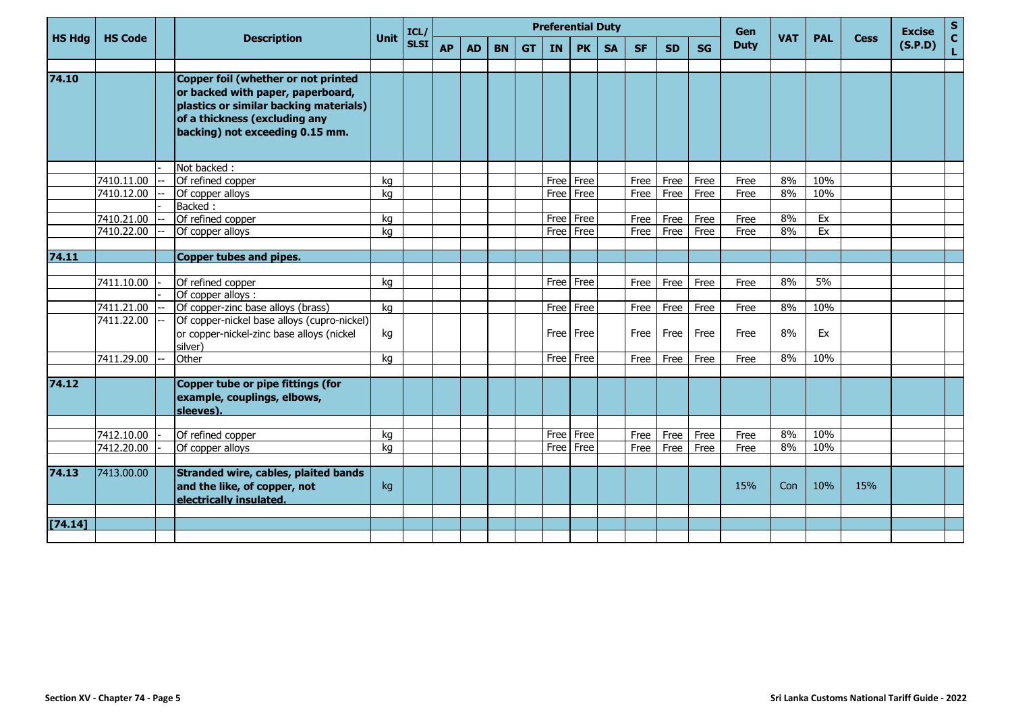|               |                |                                                                                                            |             | ICL/        | <b>Preferential Duty</b> |           |           |           |           |           |           |           | Gen       |           |             |            | <b>Excise</b> | S           |         |                   |
|---------------|----------------|------------------------------------------------------------------------------------------------------------|-------------|-------------|--------------------------|-----------|-----------|-----------|-----------|-----------|-----------|-----------|-----------|-----------|-------------|------------|---------------|-------------|---------|-------------------|
| <b>HS Hdg</b> | <b>HS Code</b> | <b>Description</b>                                                                                         | <b>Unit</b> | <b>SLSI</b> | <b>AP</b>                | <b>AD</b> | <b>BN</b> | <b>GT</b> | <b>IN</b> | <b>PK</b> | <b>SA</b> | <b>SF</b> | <b>SD</b> | <b>SG</b> | <b>Duty</b> | <b>VAT</b> | <b>PAL</b>    | <b>Cess</b> | (S.P.D) | $\mathbf c$<br>L. |
| 74.10         |                | Copper foil (whether or not printed<br>or backed with paper, paperboard,                                   |             |             |                          |           |           |           |           |           |           |           |           |           |             |            |               |             |         |                   |
|               |                | plastics or similar backing materials)<br>of a thickness (excluding any<br>backing) not exceeding 0.15 mm. |             |             |                          |           |           |           |           |           |           |           |           |           |             |            |               |             |         |                   |
|               |                | Not backed:                                                                                                |             |             |                          |           |           |           |           |           |           |           |           |           |             |            |               |             |         |                   |
|               | 7410.11.00     | Of refined copper                                                                                          | kg          |             |                          |           |           |           |           | Free Free |           | Free      | Free      | Free      | Free        | 8%         | 10%           |             |         |                   |
|               | 7410.12.00     | Of copper alloys                                                                                           | kg          |             |                          |           |           |           | Free      | Free      |           | Free      | Free      | Free      | Free        | 8%         | 10%           |             |         |                   |
|               |                | Backed:                                                                                                    |             |             |                          |           |           |           |           |           |           |           |           |           |             |            |               |             |         |                   |
|               | 7410.21.00     | Of refined copper                                                                                          | kg          |             |                          |           |           |           | Free      | Free      |           | Free      | Free      | Free      | Free        | 8%         | Ex            |             |         |                   |
|               | 7410.22.00     | Of copper alloys                                                                                           | kg          |             |                          |           |           |           |           | Free Free |           | Free      | Free      | Free      | Free        | 8%         | Ex            |             |         |                   |
|               |                |                                                                                                            |             |             |                          |           |           |           |           |           |           |           |           |           |             |            |               |             |         |                   |
| 74.11         |                | Copper tubes and pipes.                                                                                    |             |             |                          |           |           |           |           |           |           |           |           |           |             |            |               |             |         |                   |
|               |                |                                                                                                            |             |             |                          |           |           |           |           |           |           |           |           |           |             |            |               |             |         |                   |
|               | 7411.10.00     | Of refined copper                                                                                          | kg          |             |                          |           |           |           |           | Free Free |           | Free      | Free      | Free      | Free        | 8%         | $5\%$         |             |         |                   |
|               |                | Of copper alloys :                                                                                         |             |             |                          |           |           |           |           |           |           |           |           |           |             |            |               |             |         |                   |
|               | 7411.21.00     | Of copper-zinc base alloys (brass)                                                                         | kq          |             |                          |           |           |           |           | Free Free |           | Free      | Free      | Free      | Free        | 8%         | 10%           |             |         |                   |
|               | 7411.22.00     | Of copper-nickel base alloys (cupro-nickel)<br>or copper-nickel-zinc base alloys (nickel<br>silver)        | kg          |             |                          |           |           |           |           | Free Free |           | Free      | Free      | Free      | Free        | 8%         | Ex            |             |         |                   |
|               | 7411.29.00     | Other                                                                                                      | kg          |             |                          |           |           |           |           | Free Free |           | Free      | Free      | Free      | Free        | 8%         | 10%           |             |         |                   |
|               |                |                                                                                                            |             |             |                          |           |           |           |           |           |           |           |           |           |             |            |               |             |         |                   |
| 74.12         |                | Copper tube or pipe fittings (for<br>example, couplings, elbows,<br>sleeves).                              |             |             |                          |           |           |           |           |           |           |           |           |           |             |            |               |             |         |                   |
|               |                |                                                                                                            |             |             |                          |           |           |           |           |           |           |           |           |           |             |            |               |             |         |                   |
|               | 7412.10.00     | Of refined copper                                                                                          | kq          |             |                          |           |           |           |           | Free Free |           | Free      | Free      | Free      | Free        | 8%         | 10%           |             |         |                   |
|               | 7412.20.00     | Of copper alloys                                                                                           | kq          |             |                          |           |           |           | Free      | Free      |           | Free      | Free      | Free      | Free        | 8%         | 10%           |             |         |                   |
|               |                |                                                                                                            |             |             |                          |           |           |           |           |           |           |           |           |           |             |            |               |             |         |                   |
| 74.13         | 7413.00.00     | Stranded wire, cables, plaited bands<br>and the like, of copper, not<br>electrically insulated.            | kg          |             |                          |           |           |           |           |           |           |           |           |           | 15%         | Con        | 10%           | 15%         |         |                   |
|               |                |                                                                                                            |             |             |                          |           |           |           |           |           |           |           |           |           |             |            |               |             |         |                   |
| [74.14]       |                |                                                                                                            |             |             |                          |           |           |           |           |           |           |           |           |           |             |            |               |             |         |                   |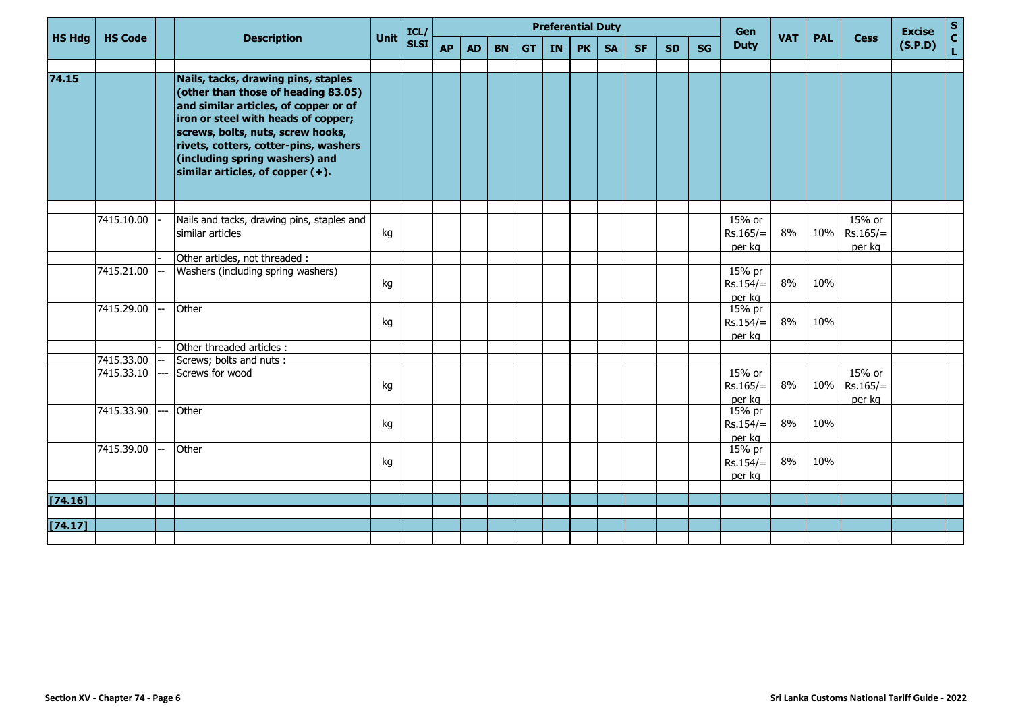|               |                |      |                                                                                                                                                                                                                                                                                                                   |             | ICL/        | <b>Preferential Duty</b> |           |           |           |    |           |           |           |           |           |                                  |            |            | <b>Cess</b>                    | <b>Excise</b> | $\frac{s}{c}$ |
|---------------|----------------|------|-------------------------------------------------------------------------------------------------------------------------------------------------------------------------------------------------------------------------------------------------------------------------------------------------------------------|-------------|-------------|--------------------------|-----------|-----------|-----------|----|-----------|-----------|-----------|-----------|-----------|----------------------------------|------------|------------|--------------------------------|---------------|---------------|
| <b>HS Hdg</b> | <b>HS Code</b> |      | <b>Description</b>                                                                                                                                                                                                                                                                                                | <b>Unit</b> | <b>SLSI</b> | <b>AP</b>                | <b>AD</b> | <b>BN</b> | <b>GT</b> | IN | <b>PK</b> | <b>SA</b> | <b>SF</b> | <b>SD</b> | <b>SG</b> | <b>Duty</b>                      | <b>VAT</b> | <b>PAL</b> |                                | (S.P.D)       | L.            |
| 74.15         |                |      | Nails, tacks, drawing pins, staples<br>(other than those of heading 83.05)<br>and similar articles, of copper or of<br>iron or steel with heads of copper;<br>screws, bolts, nuts, screw hooks,<br>rivets, cotters, cotter-pins, washers<br>(including spring washers) and<br>similar articles, of copper $(+)$ . |             |             |                          |           |           |           |    |           |           |           |           |           |                                  |            |            |                                |               |               |
|               | 7415.10.00     |      | Nails and tacks, drawing pins, staples and<br>similar articles                                                                                                                                                                                                                                                    | kg          |             |                          |           |           |           |    |           |           |           |           |           | 15% or<br>$Rs.165/=$<br>per kg   | 8%         | 10%        | 15% or<br>$Rs.165/=$<br>per kg |               |               |
|               |                |      | Other articles, not threaded :                                                                                                                                                                                                                                                                                    |             |             |                          |           |           |           |    |           |           |           |           |           |                                  |            |            |                                |               |               |
|               | 7415.21.00     |      | Washers (including spring washers)                                                                                                                                                                                                                                                                                | kg          |             |                          |           |           |           |    |           |           |           |           |           | 15% pr<br>$Rs.154/=$<br>per kg   | 8%         | 10%        |                                |               |               |
|               | 7415.29.00     |      | Other                                                                                                                                                                                                                                                                                                             | kg          |             |                          |           |           |           |    |           |           |           |           |           | $15%$ pr<br>$Rs.154/=$<br>per kg | 8%         | 10%        |                                |               |               |
|               |                |      | Other threaded articles :                                                                                                                                                                                                                                                                                         |             |             |                          |           |           |           |    |           |           |           |           |           |                                  |            |            |                                |               |               |
|               | 7415.33.00     |      | Screws; bolts and nuts:                                                                                                                                                                                                                                                                                           |             |             |                          |           |           |           |    |           |           |           |           |           |                                  |            |            |                                |               |               |
|               | 7415.33.10     | $-$  | Screws for wood                                                                                                                                                                                                                                                                                                   | kg          |             |                          |           |           |           |    |           |           |           |           |           | 15% or<br>$Rs.165/=$<br>per kg   | 8%         | 10%        | 15% or<br>$Rs.165/=$<br>per kg |               |               |
|               | 7415.33.90     | $-1$ | Other                                                                                                                                                                                                                                                                                                             | kg          |             |                          |           |           |           |    |           |           |           |           |           | 15% pr<br>$Rs.154/=$<br>per kg   | 8%         | 10%        |                                |               |               |
|               | 7415.39.00     |      | Other                                                                                                                                                                                                                                                                                                             | kg          |             |                          |           |           |           |    |           |           |           |           |           | 15% pr<br>$Rs.154/=$<br>per kg   | 8%         | 10%        |                                |               |               |
|               |                |      |                                                                                                                                                                                                                                                                                                                   |             |             |                          |           |           |           |    |           |           |           |           |           |                                  |            |            |                                |               |               |
| [74.16]       |                |      |                                                                                                                                                                                                                                                                                                                   |             |             |                          |           |           |           |    |           |           |           |           |           |                                  |            |            |                                |               |               |
| $[74.17]$     |                |      |                                                                                                                                                                                                                                                                                                                   |             |             |                          |           |           |           |    |           |           |           |           |           |                                  |            |            |                                |               |               |
|               |                |      |                                                                                                                                                                                                                                                                                                                   |             |             |                          |           |           |           |    |           |           |           |           |           |                                  |            |            |                                |               |               |